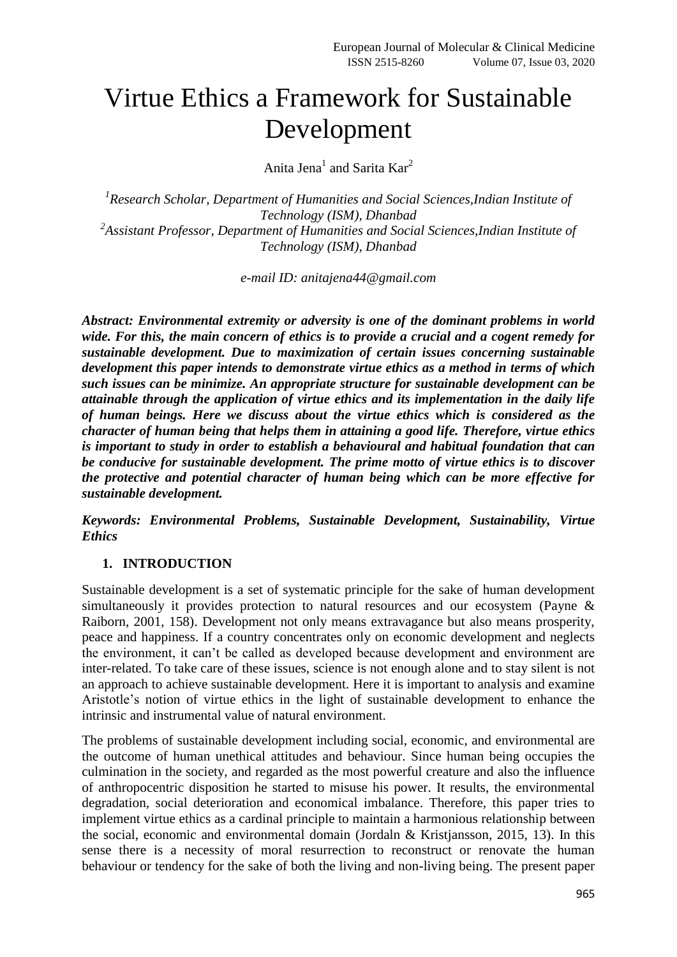# Virtue Ethics a Framework for Sustainable Development

Anita Jena<sup>1</sup> and Sarita Kar<sup>2</sup>

*1 Research Scholar, Department of Humanities and Social Sciences,Indian Institute of Technology (ISM), Dhanbad 2 Assistant Professor, Department of Humanities and Social Sciences,Indian Institute of Technology (ISM), Dhanbad*

*e-mail ID: anitajena44@gmail.com*

*Abstract: Environmental extremity or adversity is one of the dominant problems in world wide. For this, the main concern of ethics is to provide a crucial and a cogent remedy for sustainable development. Due to maximization of certain issues concerning sustainable development this paper intends to demonstrate virtue ethics as a method in terms of which such issues can be minimize. An appropriate structure for sustainable development can be attainable through the application of virtue ethics and its implementation in the daily life of human beings. Here we discuss about the virtue ethics which is considered as the character of human being that helps them in attaining a good life. Therefore, virtue ethics is important to study in order to establish a behavioural and habitual foundation that can be conducive for sustainable development. The prime motto of virtue ethics is to discover the protective and potential character of human being which can be more effective for sustainable development.*

*Keywords: Environmental Problems, Sustainable Development, Sustainability, Virtue Ethics*

## **1. INTRODUCTION**

Sustainable development is a set of systematic principle for the sake of human development simultaneously it provides protection to natural resources and our ecosystem (Payne & Raiborn, 2001, 158). Development not only means extravagance but also means prosperity, peace and happiness. If a country concentrates only on economic development and neglects the environment, it can"t be called as developed because development and environment are inter-related. To take care of these issues, science is not enough alone and to stay silent is not an approach to achieve sustainable development. Here it is important to analysis and examine Aristotle"s notion of virtue ethics in the light of sustainable development to enhance the intrinsic and instrumental value of natural environment.

The problems of sustainable development including social, economic, and environmental are the outcome of human unethical attitudes and behaviour. Since human being occupies the culmination in the society, and regarded as the most powerful creature and also the influence of anthropocentric disposition he started to misuse his power. It results, the environmental degradation, social deterioration and economical imbalance. Therefore, this paper tries to implement virtue ethics as a cardinal principle to maintain a harmonious relationship between the social, economic and environmental domain (Jordaln & Kristjansson, 2015, 13). In this sense there is a necessity of moral resurrection to reconstruct or renovate the human behaviour or tendency for the sake of both the living and non-living being. The present paper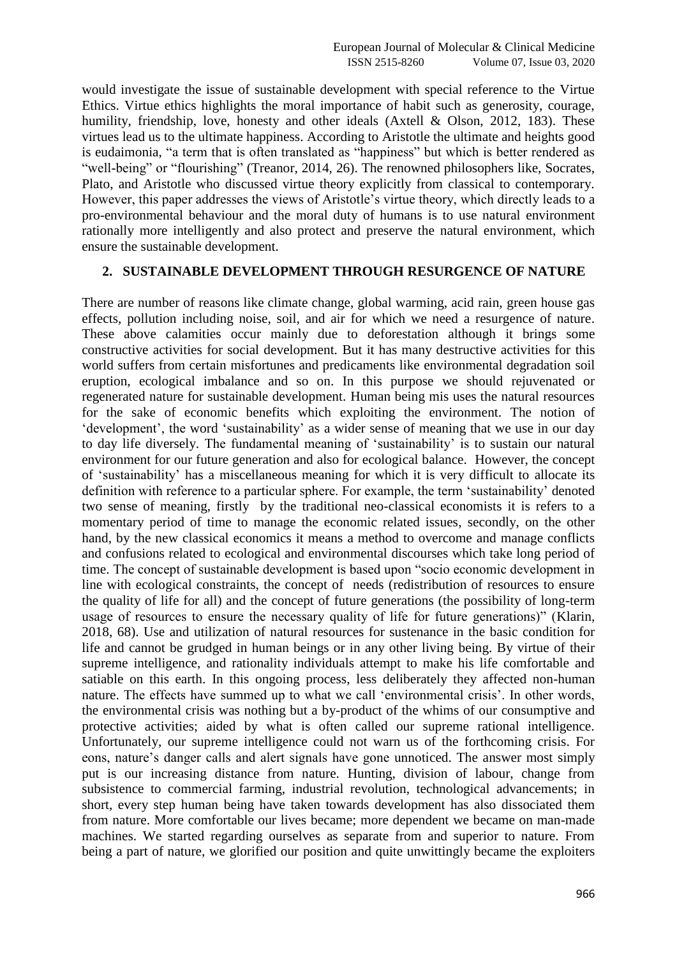would investigate the issue of sustainable development with special reference to the Virtue Ethics. Virtue ethics highlights the moral importance of habit such as generosity, courage, humility, friendship, love, honesty and other ideals (Axtell & Olson, 2012, 183). These virtues lead us to the ultimate happiness. According to Aristotle the ultimate and heights good is eudaimonia, "a term that is often translated as "happiness" but which is better rendered as "well-being" or "flourishing" (Treanor, 2014, 26). The renowned philosophers like, Socrates, Plato, and Aristotle who discussed virtue theory explicitly from classical to contemporary. However, this paper addresses the views of Aristotle"s virtue theory, which directly leads to a pro-environmental behaviour and the moral duty of humans is to use natural environment rationally more intelligently and also protect and preserve the natural environment, which ensure the sustainable development.

## **2. SUSTAINABLE DEVELOPMENT THROUGH RESURGENCE OF NATURE**

There are number of reasons like climate change, global warming, acid rain, green house gas effects, pollution including noise, soil, and air for which we need a resurgence of nature. These above calamities occur mainly due to deforestation although it brings some constructive activities for social development. But it has many destructive activities for this world suffers from certain misfortunes and predicaments like environmental degradation soil eruption, ecological imbalance and so on. In this purpose we should rejuvenated or regenerated nature for sustainable development. Human being mis uses the natural resources for the sake of economic benefits which exploiting the environment. The notion of "development", the word "sustainability" as a wider sense of meaning that we use in our day to day life diversely. The fundamental meaning of "sustainability" is to sustain our natural environment for our future generation and also for ecological balance. However, the concept of "sustainability" has a miscellaneous meaning for which it is very difficult to allocate its definition with reference to a particular sphere. For example, the term "sustainability" denoted two sense of meaning, firstly by the traditional neo-classical economists it is refers to a momentary period of time to manage the economic related issues, secondly, on the other hand, by the new classical economics it means a method to overcome and manage conflicts and confusions related to ecological and environmental discourses which take long period of time. The concept of sustainable development is based upon "socio economic development in line with ecological constraints, the concept of needs (redistribution of resources to ensure the quality of life for all) and the concept of future generations (the possibility of long-term usage of resources to ensure the necessary quality of life for future generations)" (Klarin, 2018, 68). Use and utilization of natural resources for sustenance in the basic condition for life and cannot be grudged in human beings or in any other living being. By virtue of their supreme intelligence, and rationality individuals attempt to make his life comfortable and satiable on this earth. In this ongoing process, less deliberately they affected non-human nature. The effects have summed up to what we call 'environmental crisis'. In other words, the environmental crisis was nothing but a by-product of the whims of our consumptive and protective activities; aided by what is often called our supreme rational intelligence. Unfortunately, our supreme intelligence could not warn us of the forthcoming crisis. For eons, nature"s danger calls and alert signals have gone unnoticed. The answer most simply put is our increasing distance from nature. Hunting, division of labour, change from subsistence to commercial farming, industrial revolution, technological advancements; in short, every step human being have taken towards development has also dissociated them from nature. More comfortable our lives became; more dependent we became on man-made machines. We started regarding ourselves as separate from and superior to nature. From being a part of nature, we glorified our position and quite unwittingly became the exploiters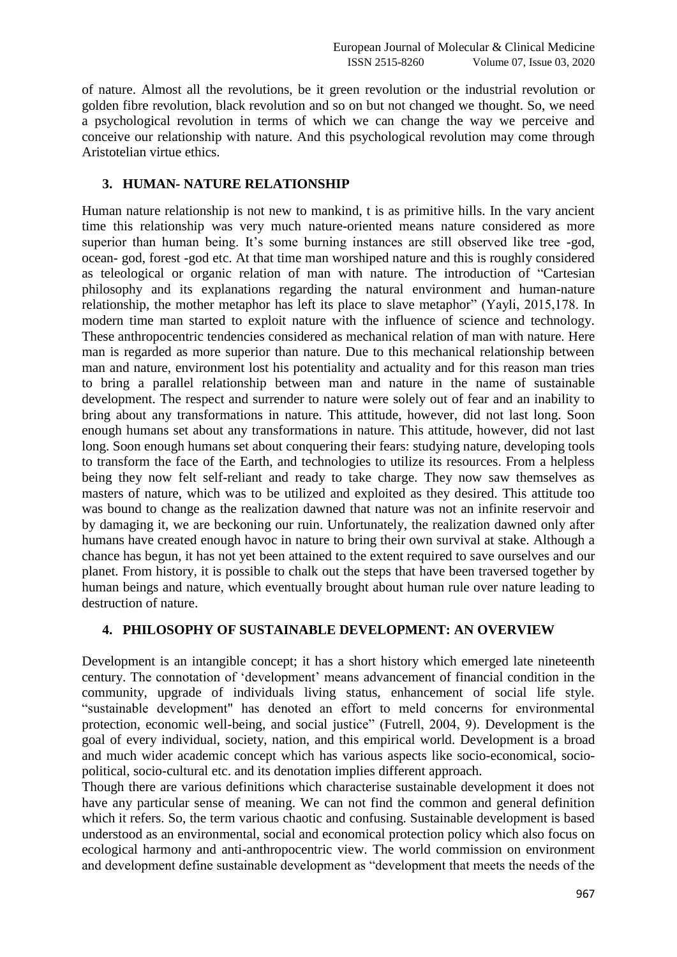of nature. Almost all the revolutions, be it green revolution or the industrial revolution or golden fibre revolution, black revolution and so on but not changed we thought. So, we need a psychological revolution in terms of which we can change the way we perceive and conceive our relationship with nature. And this psychological revolution may come through Aristotelian virtue ethics.

## **3. HUMAN- NATURE RELATIONSHIP**

Human nature relationship is not new to mankind, t is as primitive hills. In the vary ancient time this relationship was very much nature-oriented means nature considered as more superior than human being. It's some burning instances are still observed like tree -god, ocean- god, forest -god etc. At that time man worshiped nature and this is roughly considered as teleological or organic relation of man with nature. The introduction of "Cartesian philosophy and its explanations regarding the natural environment and human-nature relationship, the mother metaphor has left its place to slave metaphor" (Yayli, 2015,178. In modern time man started to exploit nature with the influence of science and technology. These anthropocentric tendencies considered as mechanical relation of man with nature. Here man is regarded as more superior than nature. Due to this mechanical relationship between man and nature, environment lost his potentiality and actuality and for this reason man tries to bring a parallel relationship between man and nature in the name of sustainable development. The respect and surrender to nature were solely out of fear and an inability to bring about any transformations in nature. This attitude, however, did not last long. Soon enough humans set about any transformations in nature. This attitude, however, did not last long. Soon enough humans set about conquering their fears: studying nature, developing tools to transform the face of the Earth, and technologies to utilize its resources. From a helpless being they now felt self-reliant and ready to take charge. They now saw themselves as masters of nature, which was to be utilized and exploited as they desired. This attitude too was bound to change as the realization dawned that nature was not an infinite reservoir and by damaging it, we are beckoning our ruin. Unfortunately, the realization dawned only after humans have created enough havoc in nature to bring their own survival at stake. Although a chance has begun, it has not yet been attained to the extent required to save ourselves and our planet. From history, it is possible to chalk out the steps that have been traversed together by human beings and nature, which eventually brought about human rule over nature leading to destruction of nature.

# **4. PHILOSOPHY OF SUSTAINABLE DEVELOPMENT: AN OVERVIEW**

Development is an intangible concept; it has a short history which emerged late nineteenth century. The connotation of "development" means advancement of financial condition in the community, upgrade of individuals living status, enhancement of social life style. "sustainable development" has denoted an effort to meld concerns for environmental protection, economic well-being, and social justice" (Futrell, 2004, 9). Development is the goal of every individual, society, nation, and this empirical world. Development is a broad and much wider academic concept which has various aspects like socio-economical, sociopolitical, socio-cultural etc. and its denotation implies different approach.

Though there are various definitions which characterise sustainable development it does not have any particular sense of meaning. We can not find the common and general definition which it refers. So, the term various chaotic and confusing. Sustainable development is based understood as an environmental, social and economical protection policy which also focus on ecological harmony and anti-anthropocentric view. The world commission on environment and development define sustainable development as "development that meets the needs of the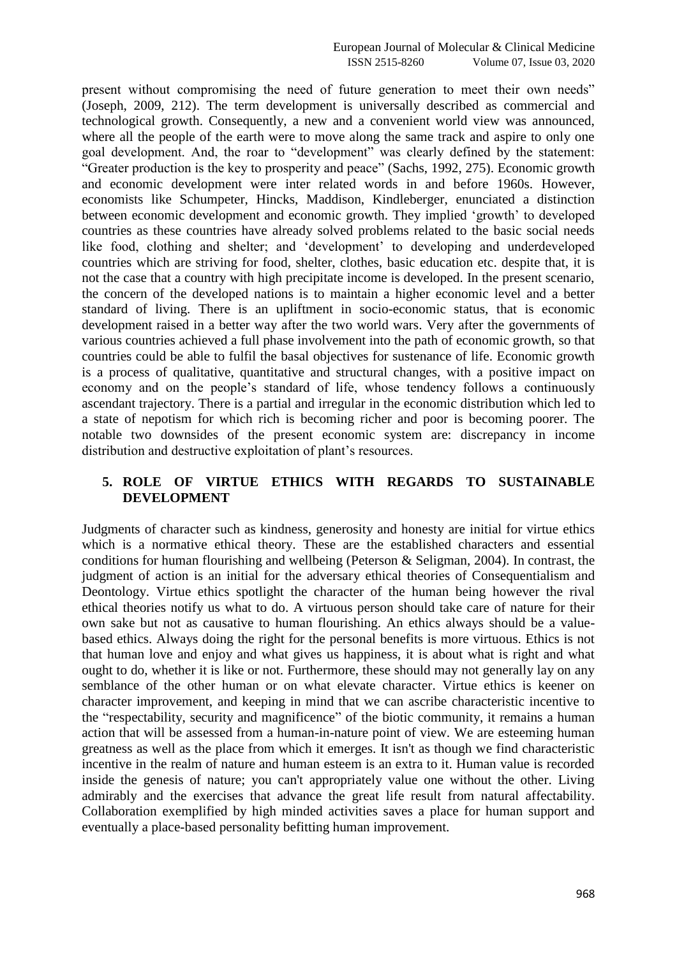present without compromising the need of future generation to meet their own needs" (Joseph, 2009, 212). The term development is universally described as commercial and technological growth. Consequently, a new and a convenient world view was announced, where all the people of the earth were to move along the same track and aspire to only one goal development. And, the roar to "development" was clearly defined by the statement: "Greater production is the key to prosperity and peace" (Sachs, 1992, 275). Economic growth and economic development were inter related words in and before 1960s. However, economists like Schumpeter, Hincks, Maddison, Kindleberger, enunciated a distinction between economic development and economic growth. They implied "growth" to developed countries as these countries have already solved problems related to the basic social needs like food, clothing and shelter; and "development" to developing and underdeveloped countries which are striving for food, shelter, clothes, basic education etc. despite that, it is not the case that a country with high precipitate income is developed. In the present scenario, the concern of the developed nations is to maintain a higher economic level and a better standard of living. There is an upliftment in socio-economic status, that is economic development raised in a better way after the two world wars. Very after the governments of various countries achieved a full phase involvement into the path of economic growth, so that countries could be able to fulfil the basal objectives for sustenance of life. Economic growth is a process of qualitative, quantitative and structural changes, with a positive impact on economy and on the people"s standard of life, whose tendency follows a continuously ascendant trajectory. There is a partial and irregular in the economic distribution which led to a state of nepotism for which rich is becoming richer and poor is becoming poorer. The notable two downsides of the present economic system are: discrepancy in income distribution and destructive exploitation of plant's resources.

## **5. ROLE OF VIRTUE ETHICS WITH REGARDS TO SUSTAINABLE DEVELOPMENT**

Judgments of character such as kindness, generosity and honesty are initial for virtue ethics which is a normative ethical theory. These are the established characters and essential conditions for human flourishing and wellbeing (Peterson & Seligman, 2004). In contrast, the judgment of action is an initial for the adversary ethical theories of Consequentialism and Deontology. Virtue ethics spotlight the character of the human being however the rival ethical theories notify us what to do. A virtuous person should take care of nature for their own sake but not as causative to human flourishing. An ethics always should be a valuebased ethics. Always doing the right for the personal benefits is more virtuous. Ethics is not that human love and enjoy and what gives us happiness, it is about what is right and what ought to do, whether it is like or not. Furthermore, these should may not generally lay on any semblance of the other human or on what elevate character. Virtue ethics is keener on character improvement, and keeping in mind that we can ascribe characteristic incentive to the "respectability, security and magnificence" of the biotic community, it remains a human action that will be assessed from a human-in-nature point of view. We are esteeming human greatness as well as the place from which it emerges. It isn't as though we find characteristic incentive in the realm of nature and human esteem is an extra to it. Human value is recorded inside the genesis of nature; you can't appropriately value one without the other. Living admirably and the exercises that advance the great life result from natural affectability. Collaboration exemplified by high minded activities saves a place for human support and eventually a place-based personality befitting human improvement.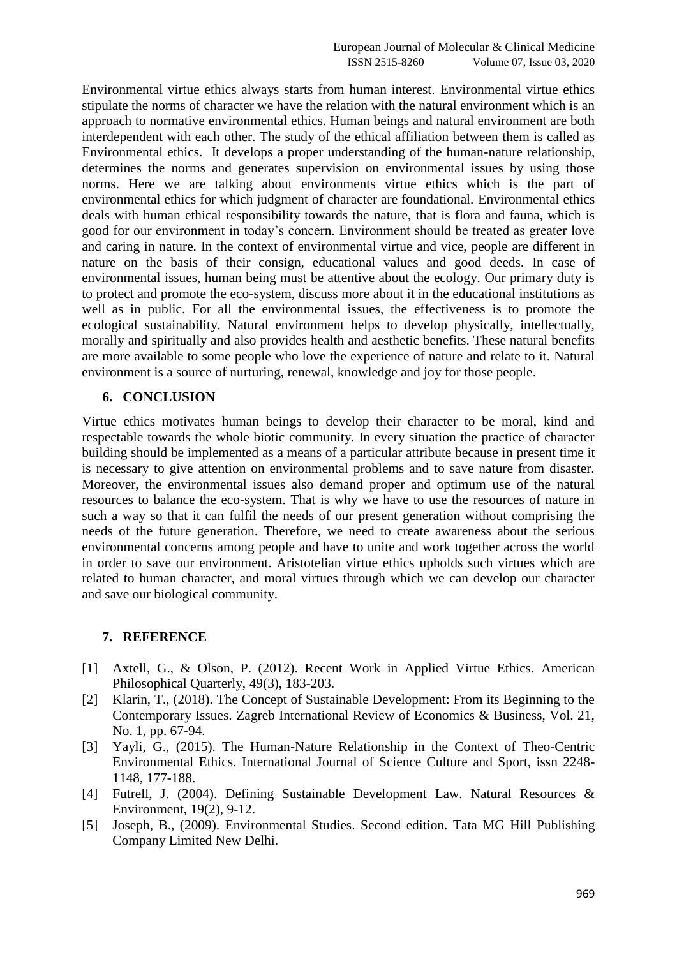Environmental virtue ethics always starts from human interest. Environmental virtue ethics stipulate the norms of character we have the relation with the natural environment which is an approach to normative environmental ethics. Human beings and natural environment are both interdependent with each other. The study of the ethical affiliation between them is called as Environmental ethics. It develops a proper understanding of the human-nature relationship, determines the norms and generates supervision on environmental issues by using those norms. Here we are talking about environments virtue ethics which is the part of environmental ethics for which judgment of character are foundational. Environmental ethics deals with human ethical responsibility towards the nature, that is flora and fauna, which is good for our environment in today"s concern. Environment should be treated as greater love and caring in nature. In the context of environmental virtue and vice, people are different in nature on the basis of their consign, educational values and good deeds. In case of environmental issues, human being must be attentive about the ecology. Our primary duty is to protect and promote the eco-system, discuss more about it in the educational institutions as well as in public. For all the environmental issues, the effectiveness is to promote the ecological sustainability. Natural environment helps to develop physically, intellectually, morally and spiritually and also provides health and aesthetic benefits. These natural benefits are more available to some people who love the experience of nature and relate to it. Natural environment is a source of nurturing, renewal, knowledge and joy for those people.

## **6. CONCLUSION**

Virtue ethics motivates human beings to develop their character to be moral, kind and respectable towards the whole biotic community. In every situation the practice of character building should be implemented as a means of a particular attribute because in present time it is necessary to give attention on environmental problems and to save nature from disaster. Moreover, the environmental issues also demand proper and optimum use of the natural resources to balance the eco-system. That is why we have to use the resources of nature in such a way so that it can fulfil the needs of our present generation without comprising the needs of the future generation. Therefore, we need to create awareness about the serious environmental concerns among people and have to unite and work together across the world in order to save our environment. Aristotelian virtue ethics upholds such virtues which are related to human character, and moral virtues through which we can develop our character and save our biological community.

## **7. REFERENCE**

- [1] Axtell, G., & Olson, P. (2012). Recent Work in Applied Virtue Ethics. American Philosophical Quarterly, 49(3), 183-203.
- [2] Klarin, T., (2018). The Concept of Sustainable Development: From its Beginning to the Contemporary Issues. Zagreb International Review of Economics & Business, Vol. 21, No. 1, pp. 67-94.
- [3] Yayli, G., (2015). The Human-Nature Relationship in the Context of Theo-Centric Environmental Ethics. International Journal of Science Culture and Sport, issn 2248- 1148, 177-188.
- [4] Futrell, J. (2004). Defining Sustainable Development Law. Natural Resources & Environment, 19(2), 9-12.
- [5] Joseph, B., (2009). Environmental Studies. Second edition. Tata MG Hill Publishing Company Limited New Delhi.